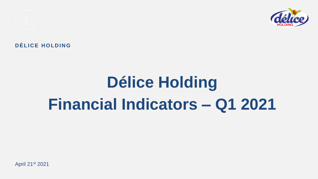

## DÉLICE HOLDING

# **Délice Holding Financial Indicators – Q1 2021**

April 21st 2021

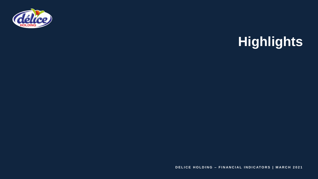

# **Highlights**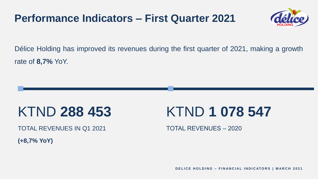Délice Holding has improved its revenues during the first quarter of 2021, making a growth rate of **8,7%** YoY.

TOTAL REVENUES IN Q1 2021

## KTND **288 453**

**(+8,7% YoY)**

**DELICE HOLDING - FINANCIAL INDICATORS | MARCH 2021** 





TOTAL REVENUES – 2020

# KTND **1 078 547**

## **Performance Indicators – First Quarter 2021**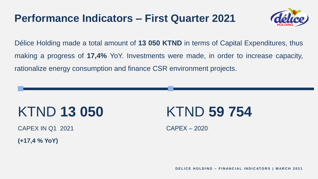Délice Holding made a total amount of **13 050 KTND** in terms of Capital Expenditures, thus making a progress of **17,4%** YoY. Investments were made, in order to increase capacity, rationalize energy consumption and finance CSR environment projects.

CAPEX IN Q1 2021

## KTND **13 050**

**(+17,4 % YoY)**

CAPEX – 2020

**DELICE HOLDING - FINANCIAL INDICATORS | MARCH 2021** 





# KTND **59 754**

## **Performance Indicators – First Quarter 2021**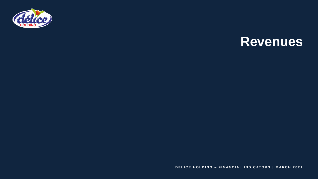

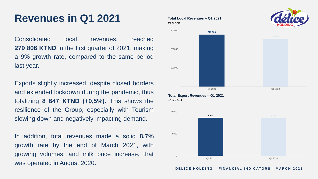## **Revenues in Q1 2021** Total Local Revenues – Q1 2021

Consolidated local revenues, reached **279 806 KTND** in the first quarter of 2021, making a **9%** growth rate, compared to the same period last year.

Exports slightly increased, despite closed borders and extended lockdown during the pandemic, thus totalizing **8 647 KTND (+0,5%).** This shows the resilience of the Group, especially with Tourism slowing down and negatively impacting demand.

In addition, total revenues made a solid **8,7%** growth rate by the end of March 2021, with growing volumes, and milk price increase, that was operated in August 2020.

*In KTND*

**Total Export Revenues – Q1 2021** *In KTND*

100000



200000

300000

0



5000



### **DELICE HOLDING - FINANCIAL INDICATORS | MARCH 2021**

10000

 $\Omega$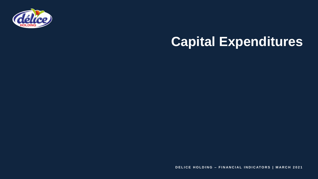

## **Capital Expenditures**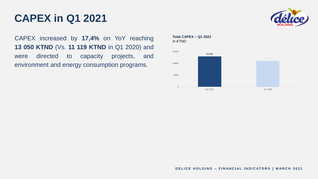CAPEX increased by **17,4%** on YoY reaching **13 050 KTND** (Vs. **11 119 KTND** in Q1 2020) and were directed to capacity projects, and environment and energy consumption programs.

## **CAPEX in Q1 2021**

**Total CAPEX – Q1 2021** *In KTND*  $\Omega$ 5000 10000 15000



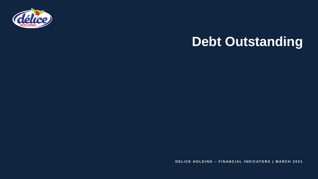



**DELICE HOLDING - FINANCIAL INDICATORS | MARCH 2021** 

## **Debt Outstanding**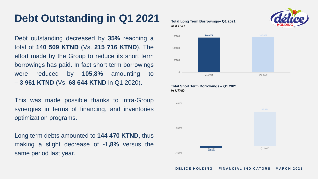Debt outstanding decreased by **35%** reaching a total of **140 509 KTND** (Vs. **215 716 KTND**). The effort made by the Group to reduce its short term borrowings has paid. In fact short term borrowings were reduced by **105,8%** amounting to **– 3 961 KTND** (Vs. **68 644 KTND** in Q1 2020).

This was made possible thanks to intra-Group synergies in terms of financing, and inventories optimization programs.

Long term debts amounted to **144 470 KTND**, thus making a slight decrease of **-1,8%** versus the same period last year.

## **Debt Outstanding in Q1 2021 Total Long Term Borrowings– Q1 2021**

## *In KTND*

### **Total Short Term Borrowings – Q1 2021**

*In KTND*



-15000





**DELICE HOLDING - FINANCIAL INDICATORS | MARCH 2021** 

35000

85000